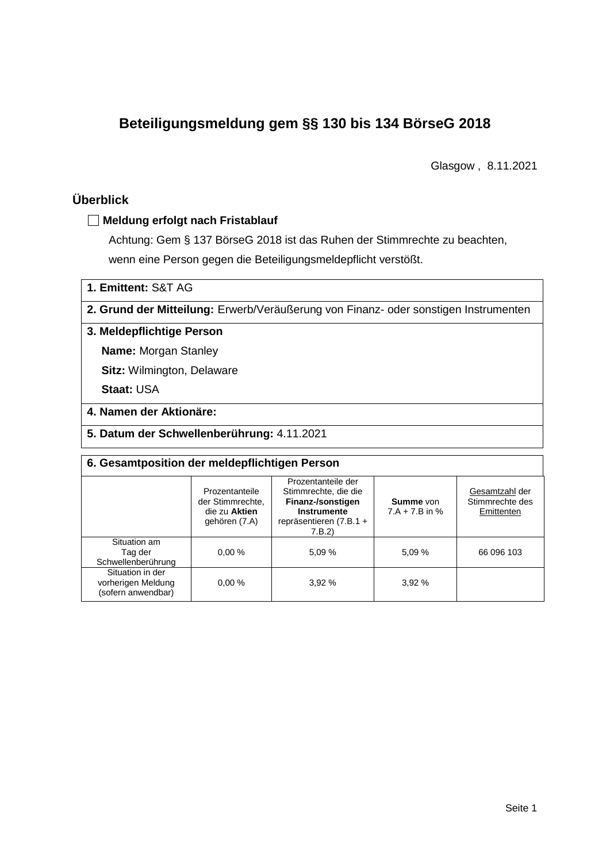# **Beteiligungsmeldung gem §§ 130 bis 134 BörseG 2018**

Glasgow , 8.11.2021

# **Überblick**

## **Meldung erfolgt nach Fristablauf**

Achtung: Gem § 137 BörseG 2018 ist das Ruhen der Stimmrechte zu beachten, wenn eine Person gegen die Beteiligungsmeldepflicht verstößt.

**1. Emittent:** S&T AG

**2. Grund der Mitteilung:** Erwerb/Veräußerung von Finanz- oder sonstigen Instrumenten

### **3. Meldepflichtige Person**

**Name:** Morgan Stanley

**Sitz:** Wilmington, Delaware

**Staat:** USA

- **4. Namen der Aktionäre:**
- **5. Datum der Schwellenberührung:** 4.11.2021

| 6. Gesamtposition der meldepflichtigen Person                |                                                                      |                                                                                                                     |                                      |                                                 |  |  |  |
|--------------------------------------------------------------|----------------------------------------------------------------------|---------------------------------------------------------------------------------------------------------------------|--------------------------------------|-------------------------------------------------|--|--|--|
|                                                              | Prozentanteile<br>der Stimmrechte.<br>die zu Aktien<br>gehören (7.A) | Prozentanteile der<br>Stimmrechte, die die<br>Finanz-/sonstigen<br>Instrumente<br>repräsentieren (7.B.1 +<br>7.B.2) | <b>Summe</b> von<br>$7.A + 7.B$ in % | Gesamtzahl der<br>Stimmrechte des<br>Emittenten |  |  |  |
| Situation am<br>Tag der<br>Schwellenberührung                | 0.00%                                                                | 5,09 %                                                                                                              | 5.09 %                               | 66 096 103                                      |  |  |  |
| Situation in der<br>vorherigen Meldung<br>(sofern anwendbar) | 0.00%                                                                | 3.92 %                                                                                                              | 3,92%                                |                                                 |  |  |  |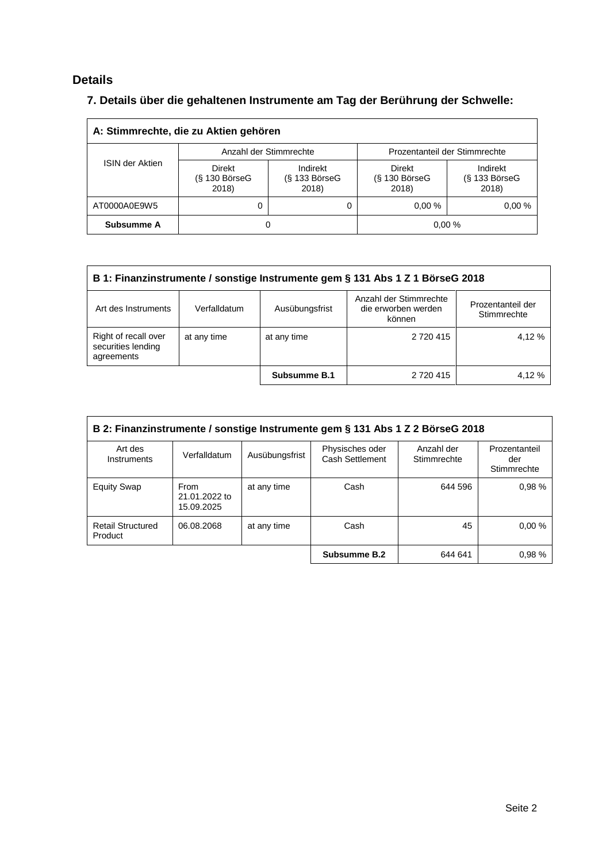# **Details**

# **7. Details über die gehaltenen Instrumente am Tag der Berührung der Schwelle:**

| A: Stimmrechte, die zu Aktien gehören                        |                        |                                      |                                    |                                    |  |  |
|--------------------------------------------------------------|------------------------|--------------------------------------|------------------------------------|------------------------------------|--|--|
|                                                              | Anzahl der Stimmrechte |                                      | Prozentanteil der Stimmrechte      |                                    |  |  |
| <b>ISIN der Aktien</b><br>Direkt<br>$(S$ 130 BörseG<br>2018) |                        | Indirekt<br>$(S$ 133 BörseG<br>2018) | Direkt<br>$(S$ 130 BörseG<br>2018) | Indirekt<br>(§ 133 BörseG<br>2018) |  |  |
| AT0000A0E9W5                                                 |                        |                                      | 0.00%                              | 0.00%                              |  |  |
| Subsumme A                                                   | 0                      |                                      | 0.00%                              |                                    |  |  |

| B 1: Finanzinstrumente / sonstige Instrumente gem § 131 Abs 1 Z 1 BörseG 2018                                                                        |             |              |           |        |  |  |
|------------------------------------------------------------------------------------------------------------------------------------------------------|-------------|--------------|-----------|--------|--|--|
| Anzahl der Stimmrechte<br>Prozentanteil der<br>Ausübungsfrist<br>Art des Instruments<br>Verfalldatum<br>die erworben werden<br>Stimmrechte<br>können |             |              |           |        |  |  |
| Right of recall over<br>securities lending<br>agreements                                                                                             | at any time | at any time  | 2 720 415 | 4.12 % |  |  |
|                                                                                                                                                      |             | Subsumme B.1 | 2 720 415 | 4.12 % |  |  |

| B 2: Finanzinstrumente / sonstige Instrumente gem § 131 Abs 1 Z 2 BörseG 2018 |                                     |                |                                    |                           |                                     |  |
|-------------------------------------------------------------------------------|-------------------------------------|----------------|------------------------------------|---------------------------|-------------------------------------|--|
| Art des<br>Instruments                                                        | Verfalldatum                        | Ausübungsfrist | Physisches oder<br>Cash Settlement | Anzahl der<br>Stimmrechte | Prozentanteil<br>der<br>Stimmrechte |  |
| <b>Equity Swap</b>                                                            | From<br>21.01.2022 to<br>15.09.2025 | at any time    | Cash                               | 644 596                   | 0.98%                               |  |
| <b>Retail Structured</b><br>Product                                           | 06.08.2068                          | at any time    | Cash                               | 45                        | 0.00%                               |  |
|                                                                               |                                     |                | Subsumme B.2                       | 644 641                   | 0.98%                               |  |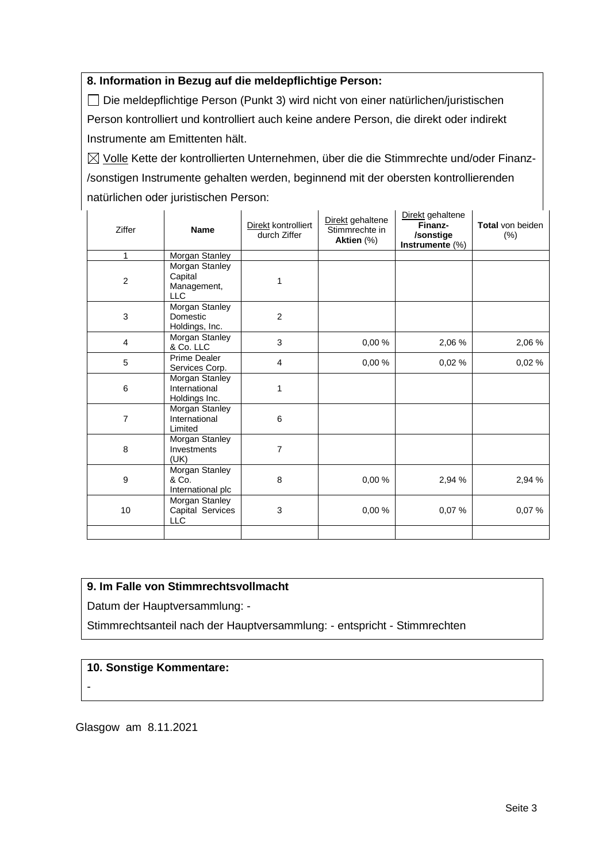## **8. Information in Bezug auf die meldepflichtige Person:**

Die meldepflichtige Person (Punkt 3) wird nicht von einer natürlichen/juristischen Person kontrolliert und kontrolliert auch keine andere Person, die direkt oder indirekt Instrumente am Emittenten hält.

 $\boxtimes$  Volle Kette der kontrollierten Unternehmen, über die die Stimmrechte und/oder Finanz-/sonstigen Instrumente gehalten werden, beginnend mit der obersten kontrollierenden natürlichen oder juristischen Person:

| Ziffer         | <b>Name</b>                                            | Direkt kontrolliert<br>durch Ziffer | Direkt gehaltene<br>Stimmrechte in<br>Aktien (%) | Direkt gehaltene<br>Finanz-<br>/sonstige<br>Instrumente (%) | Total von beiden<br>(%) |
|----------------|--------------------------------------------------------|-------------------------------------|--------------------------------------------------|-------------------------------------------------------------|-------------------------|
| 1              | Morgan Stanley                                         |                                     |                                                  |                                                             |                         |
| $\overline{c}$ | Morgan Stanley<br>Capital<br>Management,<br><b>LLC</b> | 1                                   |                                                  |                                                             |                         |
| $\mathfrak{B}$ | <b>Morgan Stanley</b><br>Domestic<br>Holdings, Inc.    | $\overline{c}$                      |                                                  |                                                             |                         |
| 4              | Morgan Stanley<br>& Co. LLC                            | 3                                   | 0,00 %                                           | 2,06 %                                                      | 2,06 %                  |
| 5              | Prime Dealer<br>Services Corp.                         | 4                                   | 0.00%                                            | 0,02%                                                       | 0,02%                   |
| 6              | Morgan Stanley<br>International<br>Holdings Inc.       | 1                                   |                                                  |                                                             |                         |
| $\overline{7}$ | Morgan Stanley<br>International<br>Limited             | 6                                   |                                                  |                                                             |                         |
| 8              | Morgan Stanley<br>Investments<br>(UK)                  | $\overline{7}$                      |                                                  |                                                             |                         |
| 9              | Morgan Stanley<br>& Co.<br>International plc           | 8                                   | 0,00%                                            | 2,94 %                                                      | 2,94 %                  |
| 10             | Morgan Stanley<br>Capital Services<br><b>LLC</b>       | 3                                   | 0,00%                                            | 0,07%                                                       | 0,07%                   |
|                |                                                        |                                     |                                                  |                                                             |                         |

## **9. Im Falle von Stimmrechtsvollmacht**

Datum der Hauptversammlung: -

Stimmrechtsanteil nach der Hauptversammlung: - entspricht - Stimmrechten

#### **10. Sonstige Kommentare:**

-

Glasgow am 8.11.2021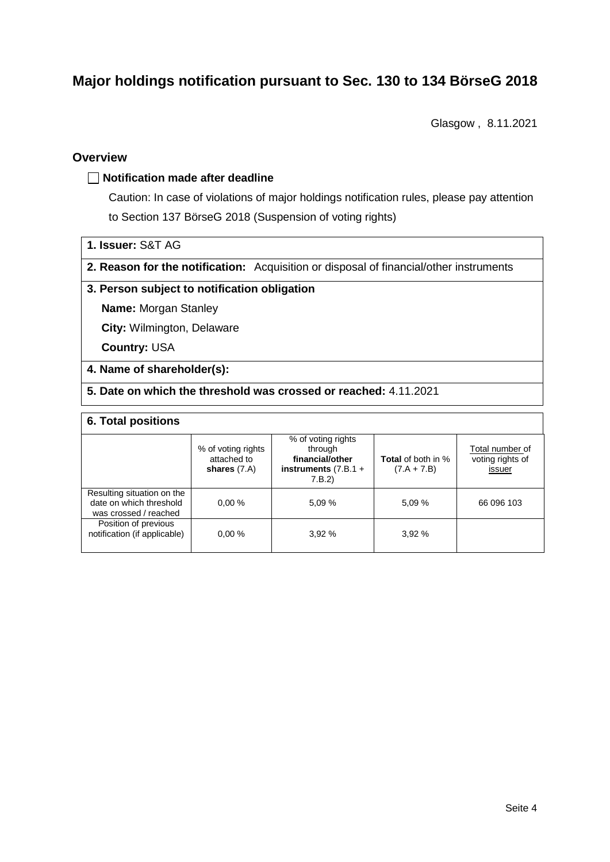# **Major holdings notification pursuant to Sec. 130 to 134 BörseG 2018**

Glasgow , 8.11.2021

## **Overview**

#### **Notification made after deadline**

Caution: In case of violations of major holdings notification rules, please pay attention to Section 137 BörseG 2018 (Suspension of voting rights)

|  |  | 1. Issuer: S&T AG |  |  |
|--|--|-------------------|--|--|
|--|--|-------------------|--|--|

**2. Reason for the notification:** Acquisition or disposal of financial/other instruments

#### **3. Person subject to notification obligation**

**Name:** Morgan Stanley

**City:** Wilmington, Delaware

**Country:** USA

#### **4. Name of shareholder(s):**

**5. Date on which the threshold was crossed or reached:** 4.11.2021

#### **6. Total positions**

|                                                                                | % of voting rights<br>attached to<br>shares $(7.A)$ | % of voting rights<br>through<br>financial/other<br>instruments $(7.B.1 +$<br>7.B.2 | <b>Total</b> of both in %<br>$(7.A + 7.B)$ | Total number of<br>voting rights of<br>issuer |
|--------------------------------------------------------------------------------|-----------------------------------------------------|-------------------------------------------------------------------------------------|--------------------------------------------|-----------------------------------------------|
| Resulting situation on the<br>date on which threshold<br>was crossed / reached | 0.00%                                               | 5.09%                                                                               | 5,09 %                                     | 66 096 103                                    |
| Position of previous<br>notification (if applicable)                           | 0.00%                                               | 3.92%                                                                               | 3.92%                                      |                                               |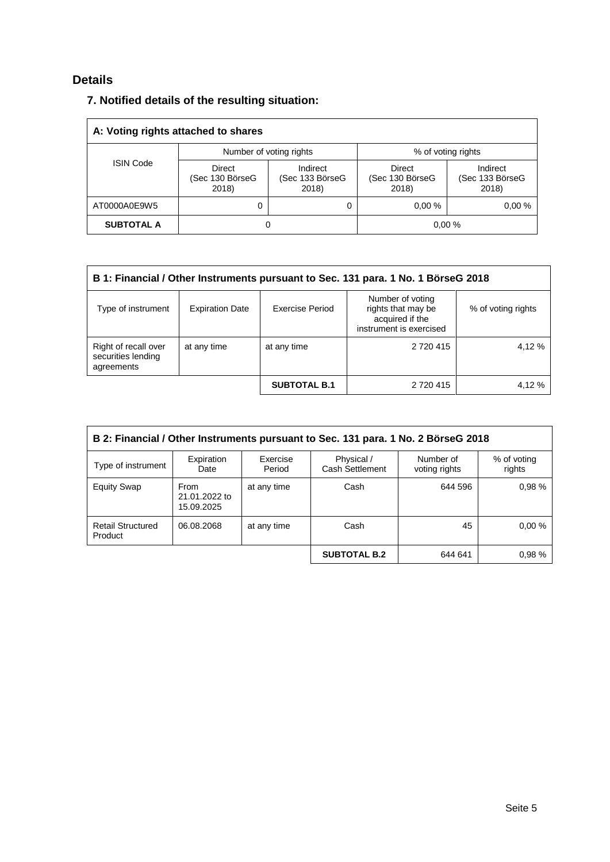# **Details**

## **7. Notified details of the resulting situation:**

| A: Voting rights attached to shares |                                    |                                      |                                    |                                      |  |  |
|-------------------------------------|------------------------------------|--------------------------------------|------------------------------------|--------------------------------------|--|--|
|                                     |                                    | Number of voting rights              | % of voting rights                 |                                      |  |  |
| <b>ISIN Code</b>                    | Direct<br>(Sec 130 BörseG<br>2018) | Indirect<br>(Sec 133 BörseG<br>2018) | Direct<br>(Sec 130 BörseG<br>2018) | Indirect<br>(Sec 133 BörseG<br>2018) |  |  |
| AT0000A0E9W5                        | 0<br>0                             |                                      | 0.00%                              | 0.00%                                |  |  |
| <b>SUBTOTAL A</b>                   | 0                                  |                                      | 0.00%                              |                                      |  |  |

| B 1: Financial / Other Instruments pursuant to Sec. 131 para. 1 No. 1 BörseG 2018 |                        |                     |                                                                                      |                    |  |  |
|-----------------------------------------------------------------------------------|------------------------|---------------------|--------------------------------------------------------------------------------------|--------------------|--|--|
| Type of instrument                                                                | <b>Expiration Date</b> | Exercise Period     | Number of voting<br>rights that may be<br>acquired if the<br>instrument is exercised | % of voting rights |  |  |
| Right of recall over<br>securities lending<br>agreements                          | at any time            | at any time         | 2 720 415                                                                            | 4.12 %             |  |  |
|                                                                                   |                        | <b>SUBTOTAL B.1</b> | 2 720 415                                                                            | 4.12 %             |  |  |

| B 2: Financial / Other Instruments pursuant to Sec. 131 para. 1 No. 2 BörseG 2018 |                                     |                    |                               |                            |                       |  |
|-----------------------------------------------------------------------------------|-------------------------------------|--------------------|-------------------------------|----------------------------|-----------------------|--|
| Type of instrument                                                                | Expiration<br>Date                  | Exercise<br>Period | Physical /<br>Cash Settlement | Number of<br>voting rights | % of voting<br>rights |  |
| <b>Equity Swap</b>                                                                | From<br>21.01.2022 to<br>15.09.2025 | at any time        | Cash                          | 644 596                    | 0.98%                 |  |
| <b>Retail Structured</b><br>Product                                               | 06.08.2068                          | at any time        | Cash                          | 45                         | 0.00%                 |  |
|                                                                                   |                                     |                    | <b>SUBTOTAL B.2</b>           | 644 641                    | 0.98%                 |  |